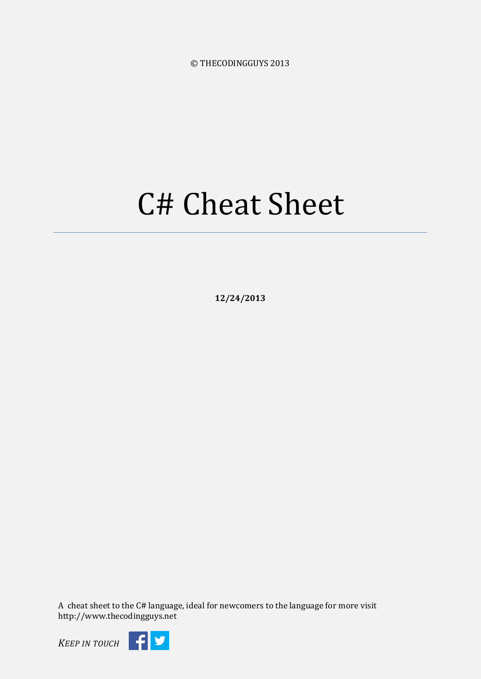© THECODINGGUYS 2013

# C# Cheat Sheet

**12/24/2013**

A cheat sheet to the C# language, ideal for newcomers to the language for more visit http://www.thecodingguys.net

*KEEP IN TOUCH*

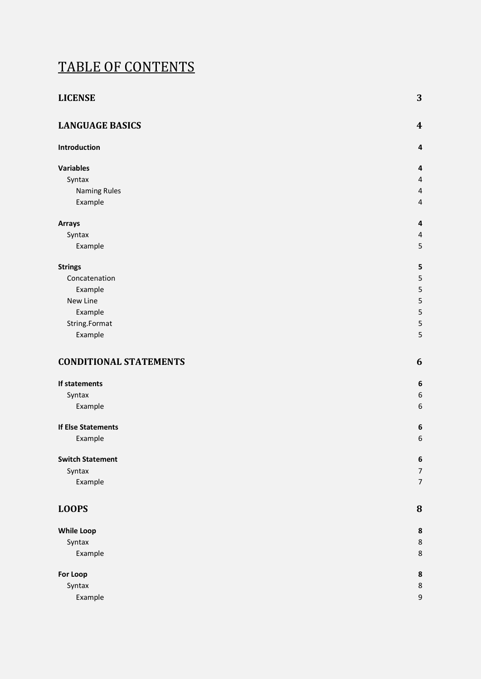### TABLE OF CONTENTS

| <b>LICENSE</b>                | 3                        |
|-------------------------------|--------------------------|
| <b>LANGUAGE BASICS</b>        | $\boldsymbol{4}$         |
| Introduction                  | 4                        |
| <b>Variables</b>              | 4                        |
| Syntax                        | 4                        |
| <b>Naming Rules</b>           | $\overline{\mathcal{A}}$ |
| Example                       | 4                        |
| <b>Arrays</b>                 | 4                        |
| Syntax                        | $\overline{\mathcal{A}}$ |
| Example                       | 5                        |
| <b>Strings</b>                | 5                        |
| Concatenation                 | 5                        |
| Example                       | 5                        |
| New Line                      | 5                        |
| Example                       | 5                        |
| String.Format                 | 5                        |
| Example                       | 5                        |
| <b>CONDITIONAL STATEMENTS</b> | 6                        |
| If statements                 | 6                        |
| Syntax                        | 6                        |
| Example                       | $\epsilon$               |
| <b>If Else Statements</b>     | 6                        |
| Example                       | 6                        |
| <b>Switch Statement</b>       | 6                        |
| Syntax                        | 7                        |
| Example                       | 7                        |
| <b>LOOPS</b>                  | 8                        |
| <b>While Loop</b>             | 8                        |
| Syntax                        | 8                        |
| Example                       | 8                        |
| <b>For Loop</b>               | 8                        |
| Syntax                        | 8                        |
| Example                       | $\mathbf{g}$             |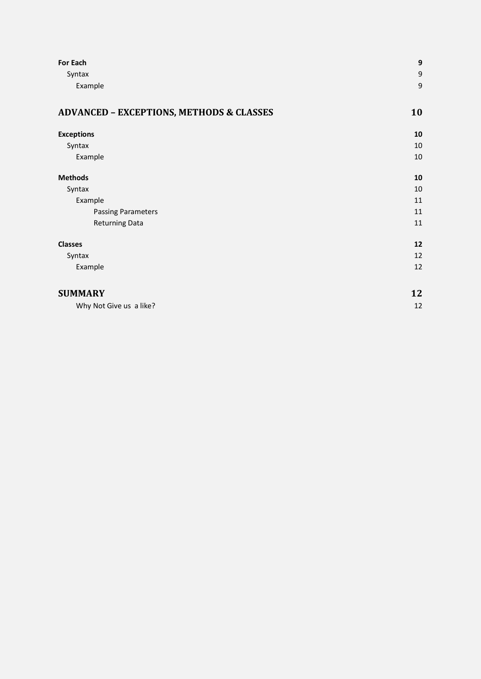| <b>For Each</b>                                     | 9  |
|-----------------------------------------------------|----|
| Syntax                                              | 9  |
| Example                                             | 9  |
| <b>ADVANCED - EXCEPTIONS, METHODS &amp; CLASSES</b> | 10 |
| <b>Exceptions</b>                                   | 10 |
| Syntax                                              | 10 |
| Example                                             | 10 |
| <b>Methods</b>                                      | 10 |
| Syntax                                              | 10 |
| Example                                             | 11 |
| <b>Passing Parameters</b>                           | 11 |
| <b>Returning Data</b>                               | 11 |
| <b>Classes</b>                                      | 12 |
| Syntax                                              | 12 |
| Example                                             | 12 |
| <b>SUMMARY</b>                                      | 12 |
| Why Not Give us a like?                             | 12 |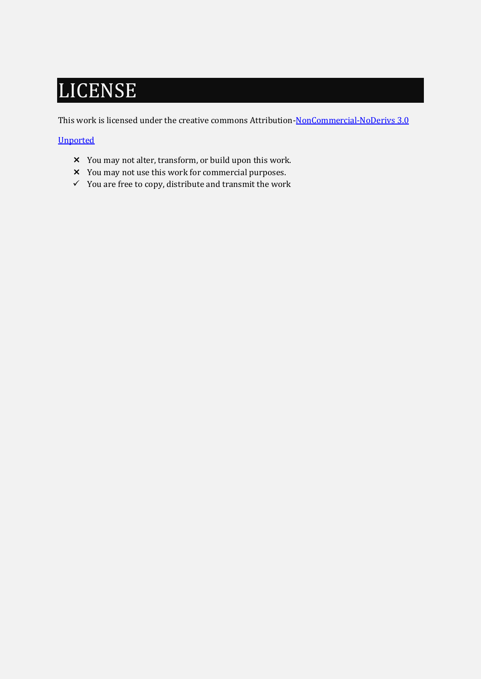# <span id="page-3-0"></span>LICENSE

This work is licensed under the creative commons Attribution-NonCommercial-NoDerivs 3.0

#### [Unported](http://creativecommons.org/licenses/by-nc-nd/3.0/)

- You may not alter, transform, or build upon this work.
- You may not use this work for commercial purposes.
- $\checkmark$  You are free to copy, distribute and transmit the work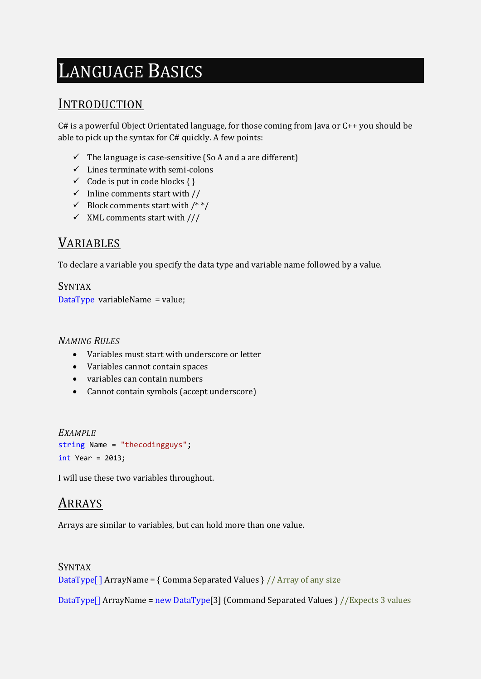# <span id="page-4-0"></span>LANGUAGE BASICS

#### <span id="page-4-1"></span>INTRODUCTION

C# is a powerful Object Orientated language, for those coming from Java or C++ you should be able to pick up the syntax for C# quickly. A few points:

- $\checkmark$  The language is case-sensitive (So A and a are different)
- $\checkmark$  Lines terminate with semi-colons
- $\checkmark$  Code is put in code blocks { }
- $\checkmark$  Inline comments start with //
- $\checkmark$  Block comments start with /\*\*/
- $\checkmark$  XML comments start with ///

#### <span id="page-4-2"></span>VARIABLES

To declare a variable you specify the data type and variable name followed by a value.

<span id="page-4-3"></span>SYNTAX DataType variableName = value;

#### <span id="page-4-4"></span>*NAMING RULES*

- Variables must start with underscore or letter
- Variables cannot contain spaces
- variables can contain numbers
- Cannot contain symbols (accept underscore)

```
EXAMPLE
string Name = "thecodingguys";
int Year = 2013;
```
I will use these two variables throughout.

#### <span id="page-4-6"></span>ARRAYS

Arrays are similar to variables, but can hold more than one value.

<span id="page-4-7"></span>SYNTAX DataType<sup>[]</sup> ArrayName = { Comma Separated Values }  $//$  Array of any size

DataType[] ArrayName = new DataType[3] {Command Separated Values } //Expects 3 values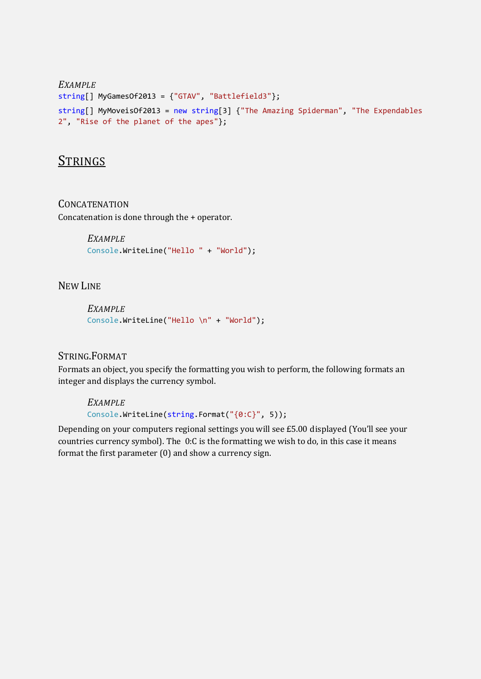```
EXAMPLE
string[] MyGamesOf2013 = {"GTAV", "Battlefield3"};
string[] MyMoveisOf2013 = new string[3] {"The Amazing Spiderman", "The Expendables 
2", "Rise of the planet of the apes"};
```
#### <span id="page-5-1"></span>**STRINGS**

<span id="page-5-2"></span>**CONCATENATION** Concatenation is done through the + operator.

```
EXAMPLE
Console.WriteLine("Hello " + "World");
```
<span id="page-5-4"></span>NEW LINE

<span id="page-5-5"></span>*EXAMPLE* Console.WriteLine("Hello \n" + "World");

#### <span id="page-5-6"></span>STRING.FORMAT

Formats an object, you specify the formatting you wish to perform, the following formats an integer and displays the currency symbol.

*EXAMPLE* Console.WriteLine(string.Format("{0:C}", 5));

<span id="page-5-7"></span>Depending on your computers regional settings you will see £5.00 displayed (You'll see your countries currency symbol). The 0:C is the formatting we wish to do, in this case it means format the first parameter (0) and show a currency sign.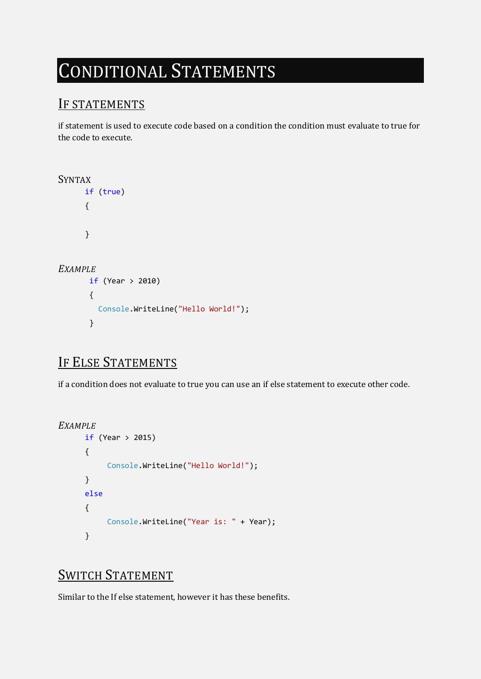# <span id="page-6-0"></span>CONDITIONAL STATEMENTS

### <span id="page-6-1"></span>IF STATEMENTS

if statement is used to execute code based on a condition the condition must evaluate to true for the code to execute.

```
SYNTAX
       if (true)
       {
       }
EXAMPLE
        if (Year > 2010)
        {
          Console.WriteLine("Hello World!");
        }
```
### <span id="page-6-4"></span>IF ELSE STATEMENTS

if a condition does not evaluate to true you can use an if else statement to execute other code.

```
EXAMPLE
       if (Year > 2015)
       {
             Console.WriteLine("Hello World!");
       }
       else
       {
             Console.WriteLine("Year is: " + Year);
       }
```
### <span id="page-6-6"></span>SWITCH STATEMENT

Similar to the If else statement, however it has these benefits.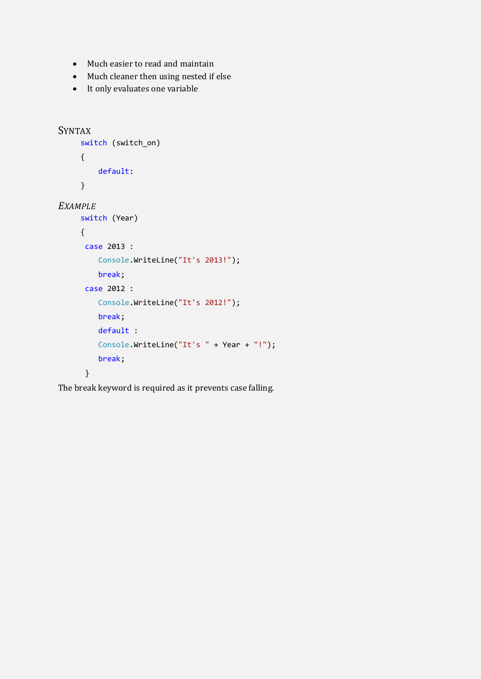- Much easier to read and maintain
- Much cleaner then using nested if else
- It only evaluates one variable

```
SYNTAX
      switch (switch_on)
      {
          default:
      }
EXAMPLE
      switch (Year)
      {
       case 2013 :
          Console.WriteLine("It's 2013!");
          break;
       case 2012 :
          Console.WriteLine("It's 2012!");
          break;
          default :
          Console.WriteLine("It's " + Year + "!");
          break;
       }
```
The break keyword is required as it prevents case falling.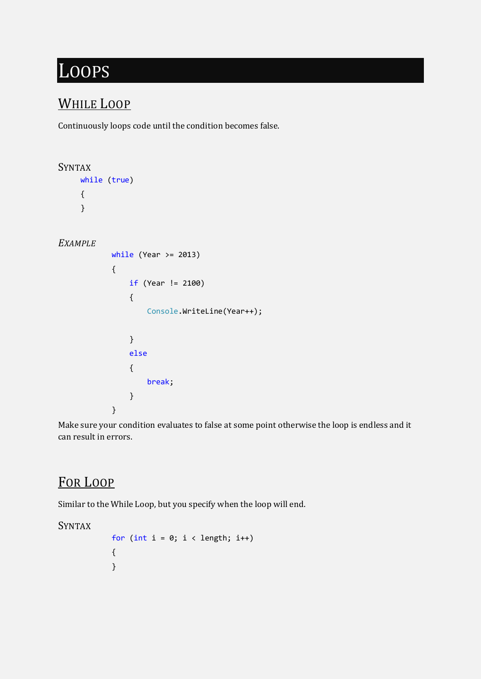## <span id="page-8-0"></span>LOOPS

### <span id="page-8-1"></span>WHILE LOOP

Continuously loops code until the condition becomes false.

```
SYNTAX
    while (true)
    { 
    }
EXAMPLE
         while (Year >= 2013)
\{ if (Year != 2100)
 {
              Console.WriteLine(Year++);
 }
           else
 {
              break;
 }
 }
```
Make sure your condition evaluates to false at some point otherwise the loop is endless and it can result in errors.

### <span id="page-8-4"></span>FOR LOOP

Similar to the While Loop, but you specify when the loop will end.

#### <span id="page-8-5"></span>SYNTAX

```
for (int i = 0; i < length; i++) {
 }
```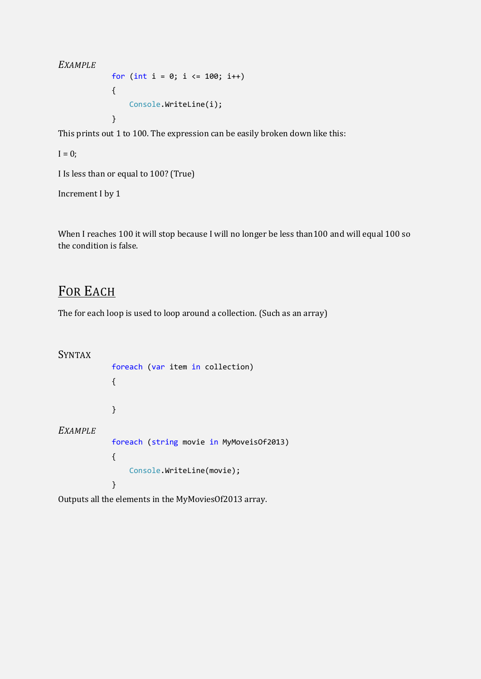#### <span id="page-9-0"></span>*EXAMPLE*

for (int  $i = 0$ ;  $i \le 100$ ;  $i++)$  { Console.WriteLine(i); }

This prints out 1 to 100. The expression can be easily broken down like this:

 $I = 0;$ 

I Is less than or equal to 100? (True)

Increment I by 1

When I reaches 100 it will stop because I will no longer be less than100 and will equal 100 so the condition is false.

#### <span id="page-9-1"></span>FOR EACH

The for each loop is used to loop around a collection. (Such as an array)

<span id="page-9-3"></span><span id="page-9-2"></span>SYNTAX foreach (var item in collection) { } *EXAMPLE* foreach (string movie in MyMoveisOf2013)  $\{$  Console.WriteLine(movie); }

Outputs all the elements in the MyMoviesOf2013 array.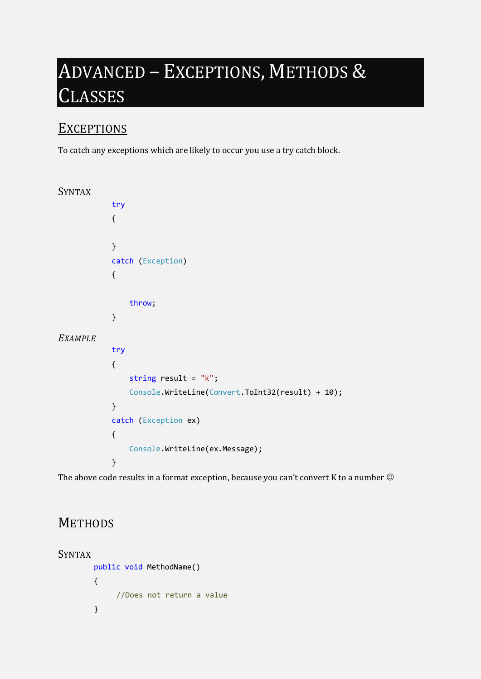# <span id="page-10-0"></span>ADVANCED – EXCEPTIONS, METHODS & **LASSES**

#### <span id="page-10-1"></span>**EXCEPTIONS**

To catch any exceptions which are likely to occur you use a try catch block.

```
SYNTAX
         try
\{ }
         catch (Exception)
\{ throw;
         }
EXAMPLE
         try
\{ string result = "k";
             Console.WriteLine(Convert.ToInt32(result) + 10);
 }
         catch (Exception ex)
\{ Console.WriteLine(ex.Message);
 }
```
The above code results in a format exception, because you can't convert K to a number  $\odot$ 

#### <span id="page-10-4"></span>**METHODS**

```
SYNTAX
         public void MethodName()
         {
             //Does not return a value
         }
```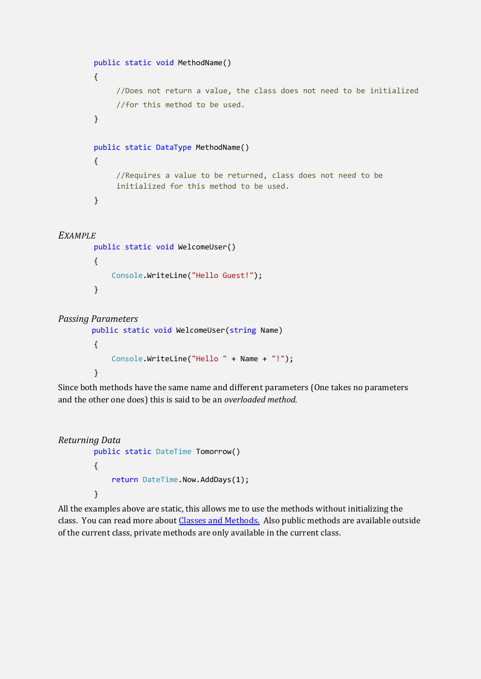```
 public static void MethodName()
 {
     //Does not return a value, the class does not need to be initialized
     //for this method to be used.
 }
 public static DataType MethodName()
 {
     //Requires a value to be returned, class does not need to be 
     initialized for this method to be used.
 }
```
#### <span id="page-11-0"></span>*EXAMPLE*

```
 public static void WelcomeUser()
 {
     Console.WriteLine("Hello Guest!");
 }
```

```
Passing Parameters
```

```
public static void WelcomeUser(string Name)
 {
     Console.WriteLine("Hello " + Name + "!");
 }
```
Since both methods have the same name and different parameters (One takes no parameters and the other one does) this is said to be an *overloaded method.*

```
Returning Data
         public static DateTime Tomorrow()
         {
             return DateTime.Now.AddDays(1);
         }
```
All the examples above are static, this allows me to use the methods without initializing the class. You can read more about [Classes and Methods.](http://www.thecodingguys.net/tutorials/csharp/csharp-methods) Also public methods are available outside of the current class, private methods are only available in the current class.